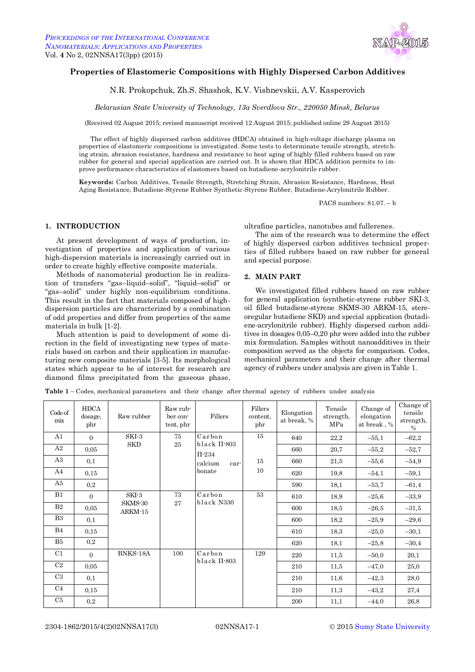

# **Properties of Elastomeric Compositions with Highly Dispersed Carbon Additives**

N.R. Prokopchuk, Zh.S. Shashok, K.V. Vishnevskii, A.V. Kasperovich

*Belarusian State University of Technology, 13a Sverdlova Str., 220050 Minsk, Belarus*

(Received 02 August 2015; revised manuscript received 12 August 2015; published online 29 August 2015)

The effect of highly dispersed carbon additives (HDCA) obtained in high-voltage discharge plasma on properties of elastomeric compositions is investigated. Some tests to determinate tensile strength, stretching strain, abrasion resistance, hardness and resistance to heat aging of highly filled rubbers based on raw rubber for general and special application are carried out. It is shown that HDCA addition permits to improve performance characteristics of elastomers based on butadiene-acrylonitrile rubber.

**Keywords:** Carbon Additives, Tensile Strength, Stretching Strain, Abrasion Resistance, Hardness, Heat Aging Resistance, Butadiene-Styrene Rubber Synthetic-Styrene Rubber, Butadiene-Acrylonitrile Rubber.

PACS numbers: 81.07. – b

#### **1. INTRODUCTION**

At present development of ways of production, investigation of properties and application of various high-dispersion materials is increasingly carried out in order to create highly effective composite materials.

Methods of nanomaterial production lie in realization of transfers "gas–liquid–solid", "liquid–solid" or "gas–solid" under highly non-equilibrium conditions. This result in the fact that materials composed of highdispersion particles are characterized by a combination of odd properties and differ from properties of the same materials in bulk [1-2].

Much attention is paid to development of some direction in the field of investigating new types of materials based on carbon and their application in manufacturing new composite materials [3-5]. Its morphological states which appear to be of interest for research are diamond films precipitated from the gaseous phase,

ultrafine particles, nanotubes and fullerenes.

The aim of the research was to determine the effect of highly dispersed carbon additives technical properties of filled rubbers based on raw rubber for general and special purpose.

#### **2. MAIN PART**

We investigated filled rubbers based on raw rubber for general application (synthetic-styrene rubber SKI-3, oil filled butadiene-styrene SKMS-30 ARKM-15, stereoregular butadiene SKD) and special application (butadiene-acrylonitrile rubber). Highly dispersed carbon additives in dosages 0,05–0,20 phr were added into the rubber mix formulation. Samples without nanoadditives in their composition served as the objects for comparison. Codes, mechanical parameters and their change after thermal agency of rubbers under analysis are given in Table 1.

**Table 1** – Codes, mechanical parameters and their change after thermal agency of rubbers under analysis

| Code of<br>mix | <b>HDCA</b><br>dosage,<br>phr | Raw rubber                      | Raw rub-<br>ber con-<br>tent, phr | Fillers                                                          | Fillers<br>content.<br>phr | Elongation<br>at break, % | Tensile<br>strength,<br>MPa | Change of<br>elongation<br>at break, % | Change of<br>tensile<br>strength,<br>$\%$ |
|----------------|-------------------------------|---------------------------------|-----------------------------------|------------------------------------------------------------------|----------------------------|---------------------------|-----------------------------|----------------------------------------|-------------------------------------------|
| A1             | $\Omega$                      | SKI-3<br>75<br><b>SKD</b><br>25 |                                   | Carbon<br>black Π-803<br>$\Pi$ -234<br>calcium<br>car-<br>bonate | 15                         | 640                       | 22,2                        | $-55,1$                                | $-62,2$                                   |
| A2             | 0.05                          |                                 |                                   |                                                                  | 15<br>10                   | 660                       | 20,7                        | $-55,2$                                | $-52,7$                                   |
| A3             | 0,1                           |                                 |                                   |                                                                  |                            | 660                       | 21,5                        | $-55.6$                                | $-54,9$                                   |
| A4             | 0,15                          |                                 |                                   |                                                                  |                            | 620                       | 19,8                        | $-54,1$                                | $-59,1$                                   |
| A5             | 0,2                           |                                 |                                   |                                                                  | 590                        | 18,1                      | $-53,7$                     | $-61,4$                                |                                           |
| B1             | $\Omega$                      | $SKI-3$<br>SKMS-30<br>ARKM-15   | 73<br>27                          | Carbon<br>black N330                                             | 53                         | 610                       | 18,9                        | $-25,6$                                | $-33,9$                                   |
| B <sub>2</sub> | 0.05                          |                                 |                                   |                                                                  |                            | 600                       | 18,5                        | $-26,5$                                | $-31,5$                                   |
| B <sub>3</sub> | 0,1                           |                                 |                                   |                                                                  |                            | 600                       | 18,2                        | $-25,9$                                | $-29,6$                                   |
| B4             | 0,15                          |                                 |                                   |                                                                  |                            | 610                       | 18,3                        | $-25,0$                                | $-30,1$                                   |
| B <sub>5</sub> | 0,2                           |                                 |                                   |                                                                  |                            | 620                       | 18,1                        | $-25,8$                                | $-30,4$                                   |
| C <sub>1</sub> | $\Omega$                      | BNKS-18A                        | 100                               | Carbon<br>$black \Pi$ -803                                       | 129                        | 220                       | 11,5                        | $-50,0$                                | 20,1                                      |
| C <sub>2</sub> | 0.05                          |                                 |                                   |                                                                  |                            | 210                       | 11,5                        | $-47,0$                                | 25,0                                      |
| C <sub>3</sub> | 0,1                           |                                 |                                   |                                                                  |                            | 210                       | 11,6                        | $-42,3$                                | 28,0                                      |
| C <sub>4</sub> | 0.15                          |                                 |                                   |                                                                  |                            | 210                       | 11,3                        | $-43,2$                                | 27,4                                      |
| C5             | 0,2                           |                                 |                                   |                                                                  |                            | 200                       | 11,1                        | $-44,0$                                | 26,8                                      |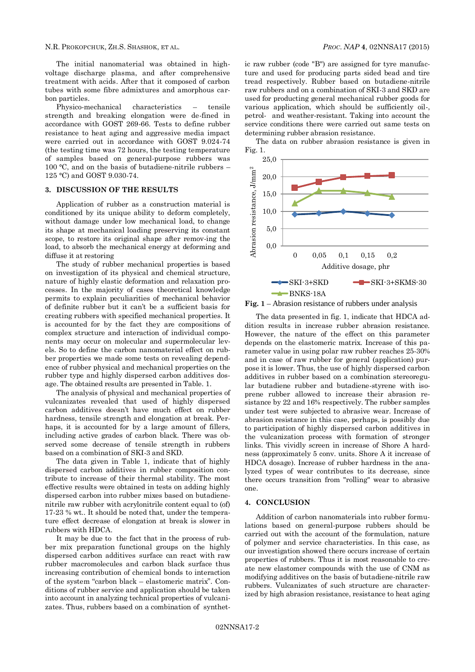N.R. PROKOPCHUK, ZH.S. SHASHOK, ET AL. *PROC. NAP* **4**, 02NNSA17 (2015)

The initial nanomaterial was obtained in highvoltage discharge plasma, and after comprehensive treatment with acids. After that it composed of carbon tubes with some fibre admixtures and amorphous carbon particles.

Physico-mechanical characteristics – tensile strength and breaking elongation were de-fined in accordance with GOST 269-66. Tests to define rubber resistance to heat aging and aggressive media impact were carried out in accordance with GOST 9.024-74 (the testing time was 72 hours, the testing temperature of samples based on general-purpose rubbers was 100 °C, and on the basis of butadiene-nitrile rubbers – 125 °C) and GOST 9.030-74.

#### **3. DISCUSSION OF THE RESULTS**

Application of rubber as a construction material is conditioned by its unique ability to deform completely, without damage under low mechanical load, to change its shape at mechanical loading preserving its constant scope, to restore its original shape after remov-ing the load, to absorb the mechanical energy at deforming and diffuse it at restoring

The study of rubber mechanical properties is based on investigation of its physical and chemical structure, nature of highly elastic deformation and relaxation processes. In the majority of cases theoretical knowledge permits to explain peculiarities of mechanical behavior of definite rubber but it can't be a sufficient basis for creating rubbers with specified mechanical properties. It is accounted for by the fact they are compositions of complex structure and interaction of individual components may occur on molecular and supermolecular levels. So to define the carbon nanomaterial effect on rubber properties we made some tests on revealing dependence of rubber physical and mechanical properties on the rubber type and highly dispersed carbon additives dosage. The obtained results are presented in Table. 1.

The analysis of physical and mechanical properties of vulcanizates revealed that used of highly dispersed carbon additives doesn't have much effect on rubber hardness, tensile strength and elongation at break. Perhaps, it is accounted for by a large amount of fillers, including active grades of carbon black. There was observed some decrease of tensile strength in rubbers based on a combination of SKI-3 and SKD.

The data given in Table 1, indicate that of highly dispersed carbon additives in rubber composition contribute to increase of their thermal stability. The most effective results were obtained in tests on adding highly dispersed carbon into rubber mixes based on butadienenitrile raw rubber with acrylonitrile content equal to (of) 17-23 % wt.. It should be noted that, under the temperature effect decrease of elongation at break is slower in rubbers with HDCA.

It may be due to the fact that in the process of rubber mix preparation functional groups on the highly dispersed carbon additives surface can react with raw rubber macromolecules and carbon black surface thus increasing contribution of chemical bonds to interaction of the system "carbon black – elastomeric matrix". Conditions of rubber service and application should be taken into account in analyzing technical properties of vulcanizates. Thus, rubbers based on a combination of synthetic raw rubber (code "B") are assigned for tyre manufacture and used for producing parts sided bead and tire tread respectively. Rubber based on butadiene-nitrile raw rubbers and on a combination of SKI-3 and SKD are used for producting general mechanical rubber goods for various application, which should be sufficiently oil-, petrol- and weather-resistant. Taking into account the service conditions there were carried out same tests on determining rubber abrasion resistance.







The data presented in fig. 1, indicate that HDCA addition results in increase rubber abrasion resistance. However, the nature of the effect on this parameter depends on the elastomeric matrix. Increase of this parameter value in using polar raw rubber reaches 25-30% and in case of raw rubber for general (application) purpose it is lower. Thus, the use of highly dispersed carbon additives in rubber based on a combination stereoregular butadiene rubber and butadiene-styrene with isoprene rubber allowed to increase their abrasion resistance by 22 and 16% respectively. The rubber samples under test were subjected to abrasive wear. Increase of abrasion resistance in this case, perhaps, is possibly due to participation of highly dispersed carbon additives in the vulcanization process with formation of stronger links. This vividly screen in increase of Shore A hardness (approximately 5 conv. units. Shore A it increase of HDCA dosage). Increase of rubber hardness in the analyzed types of wear contributes to its decrease, since there occurs transition from "rolling" wear to abrasive one.

### **4. CONCLUSION**

Addition of carbon nanomaterials into rubber formulations based on general-purpose rubbers should be carried out with the account of the formulation, nature of polymer and service characteristics. In this case, as our investigation showed there occurs increase of certain properties of rubbers. Thus it is most reasonable to create new elastomer compounds with the use of CNM as modifying additives on the basis of butadiene-nitrile raw rubbers. Vulcanizates of such structure are characterized by high abrasion resistance, resistance to heat aging